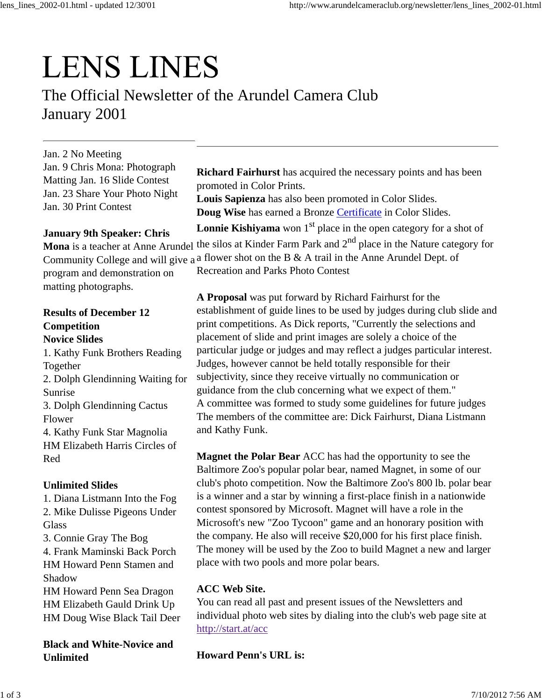# **LENS LINES**

The Official Newsletter of the Arundel Camera Club January 2001

Jan. 2 No Meeting Jan. 9 Chris Mona: Photograph Matting Jan. 16 Slide Contest Jan. 23 Share Your Photo Night Jan. 30 Print Contest

#### **January 9th Speaker: Chris**

program and demonstration on matting photographs.

#### **Results of December 12 Competition Novice Slides**

1. Kathy Funk Brothers Reading Together 2. Dolph Glendinning Waiting for Sunrise 3. Dolph Glendinning Cactus Flower 4. Kathy Funk Star Magnolia HM Elizabeth Harris Circles of Red

#### **Unlimited Slides**

1. Diana Listmann Into the Fog 2. Mike Dulisse Pigeons Under **Glass** 

3. Connie Gray The Bog

4. Frank Maminski Back Porch HM Howard Penn Stamen and Shadow

HM Howard Penn Sea Dragon HM Elizabeth Gauld Drink Up HM Doug Wise Black Tail Deer

**Black and White-Novice and Unlimited**

**Richard Fairhurst** has acquired the necessary points and has been promoted in Color Prints.

**Louis Sapienza** has also been promoted in Color Slides. **Doug Wise** has earned a Bronze Certificate in Color Slides.

**Lonnie Kishiyama** won  $1<sup>st</sup>$  place in the open category for a shot of

Mona is a teacher at Anne Arundel the silos at Kinder Farm Park and 2<sup>nd</sup> place in the Nature category for Community College and will give a <sup>a</sup> flower shot on the B & A trail in the Anne Arundel Dept. of

Recreation and Parks Photo Contest

**A Proposal** was put forward by Richard Fairhurst for the establishment of guide lines to be used by judges during club slide and print competitions. As Dick reports, "Currently the selections and placement of slide and print images are solely a choice of the particular judge or judges and may reflect a judges particular interest. Judges, however cannot be held totally responsible for their subjectivity, since they receive virtually no communication or guidance from the club concerning what we expect of them." A committee was formed to study some guidelines for future judges The members of the committee are: Dick Fairhurst, Diana Listmann and Kathy Funk.

**Magnet the Polar Bear** ACC has had the opportunity to see the Baltimore Zoo's popular polar bear, named Magnet, in some of our club's photo competition. Now the Baltimore Zoo's 800 lb. polar bear is a winner and a star by winning a first-place finish in a nationwide contest sponsored by Microsoft. Magnet will have a role in the Microsoft's new "Zoo Tycoon" game and an honorary position with the company. He also will receive \$20,000 for his first place finish. The money will be used by the Zoo to build Magnet a new and larger place with two pools and more polar bears.

#### **ACC Web Site.**

You can read all past and present issues of the Newsletters and individual photo web sites by dialing into the club's web page site at http://start.at/acc

**Howard Penn's URL is:**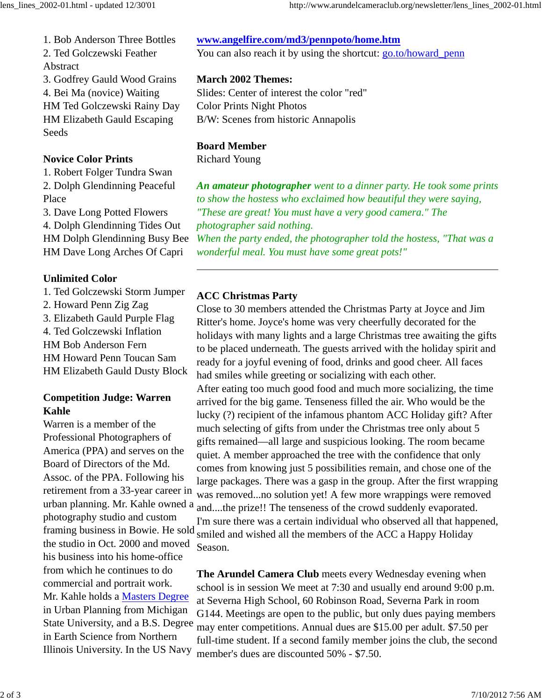1. Bob Anderson Three Bottles 2. Ted Golczewski Feather

Abstract

3. Godfrey Gauld Wood Grains 4. Bei Ma (novice) Waiting HM Ted Golczewski Rainy Day HM Elizabeth Gauld Escaping **Seeds** 

#### **Novice Color Prints**

1. Robert Folger Tundra Swan 2. Dolph Glendinning Peaceful Place

3. Dave Long Potted Flowers

4. Dolph Glendinning Tides Out HM Dolph Glendinning Busy Bee HM Dave Long Arches Of Capri

## **Unlimited Color**

- 1. Ted Golczewski Storm Jumper
- 2. Howard Penn Zig Zag
- 3. Elizabeth Gauld Purple Flag

4. Ted Golczewski Inflation HM Bob Anderson Fern HM Howard Penn Toucan Sam HM Elizabeth Gauld Dusty Block

# **Competition Judge: Warren Kahle**

Warren is a member of the Professional Photographers of America (PPA) and serves on the Board of Directors of the Md. Assoc. of the PPA. Following his retirement from a 33-year career in urban planning. Mr. Kahle owned a photography studio and custom the studio in Oct. 2000 and moved his business into his home-office from which he continues to do commercial and portrait work. Mr. Kahle holds a Masters Degree in Urban Planning from Michigan State University, and a B.S. Degree in Earth Science from Northern Illinois University. In the US Navy

## **www.angelfire.com/md3/pennpoto/home.htm**

You can also reach it by using the shortcut: go.to/howard\_penn

## **March 2002 Themes:**

Slides: Center of interest the color "red" Color Prints Night Photos B/W: Scenes from historic Annapolis

## **Board Member**

Richard Young

*An amateur photographer went to a dinner party. He took some prints to show the hostess who exclaimed how beautiful they were saying, "These are great! You must have a very good camera." The photographer said nothing.*

*When the party ended, the photographer told the hostess, "That was a wonderful meal. You must have some great pots!"*

# **ACC Christmas Party**

Close to 30 members attended the Christmas Party at Joyce and Jim Ritter's home. Joyce's home was very cheerfully decorated for the holidays with many lights and a large Christmas tree awaiting the gifts to be placed underneath. The guests arrived with the holiday spirit and ready for a joyful evening of food, drinks and good cheer. All faces had smiles while greeting or socializing with each other.

framing business in Bowie. He sold smiled and wished all the members of the ACC a Happy Holiday After eating too much good food and much more socializing, the time arrived for the big game. Tenseness filled the air. Who would be the lucky (?) recipient of the infamous phantom ACC Holiday gift? After much selecting of gifts from under the Christmas tree only about 5 gifts remained—all large and suspicious looking. The room became quiet. A member approached the tree with the confidence that only comes from knowing just 5 possibilities remain, and chose one of the large packages. There was a gasp in the group. After the first wrapping was removed...no solution yet! A few more wrappings were removed and....the prize!! The tenseness of the crowd suddenly evaporated. I'm sure there was a certain individual who observed all that happened, Season.

> **The Arundel Camera Club** meets every Wednesday evening when school is in session We meet at 7:30 and usually end around 9:00 p.m. at Severna High School, 60 Robinson Road, Severna Park in room G144. Meetings are open to the public, but only dues paying members may enter competitions. Annual dues are \$15.00 per adult. \$7.50 per full-time student. If a second family member joins the club, the second member's dues are discounted 50% - \$7.50.